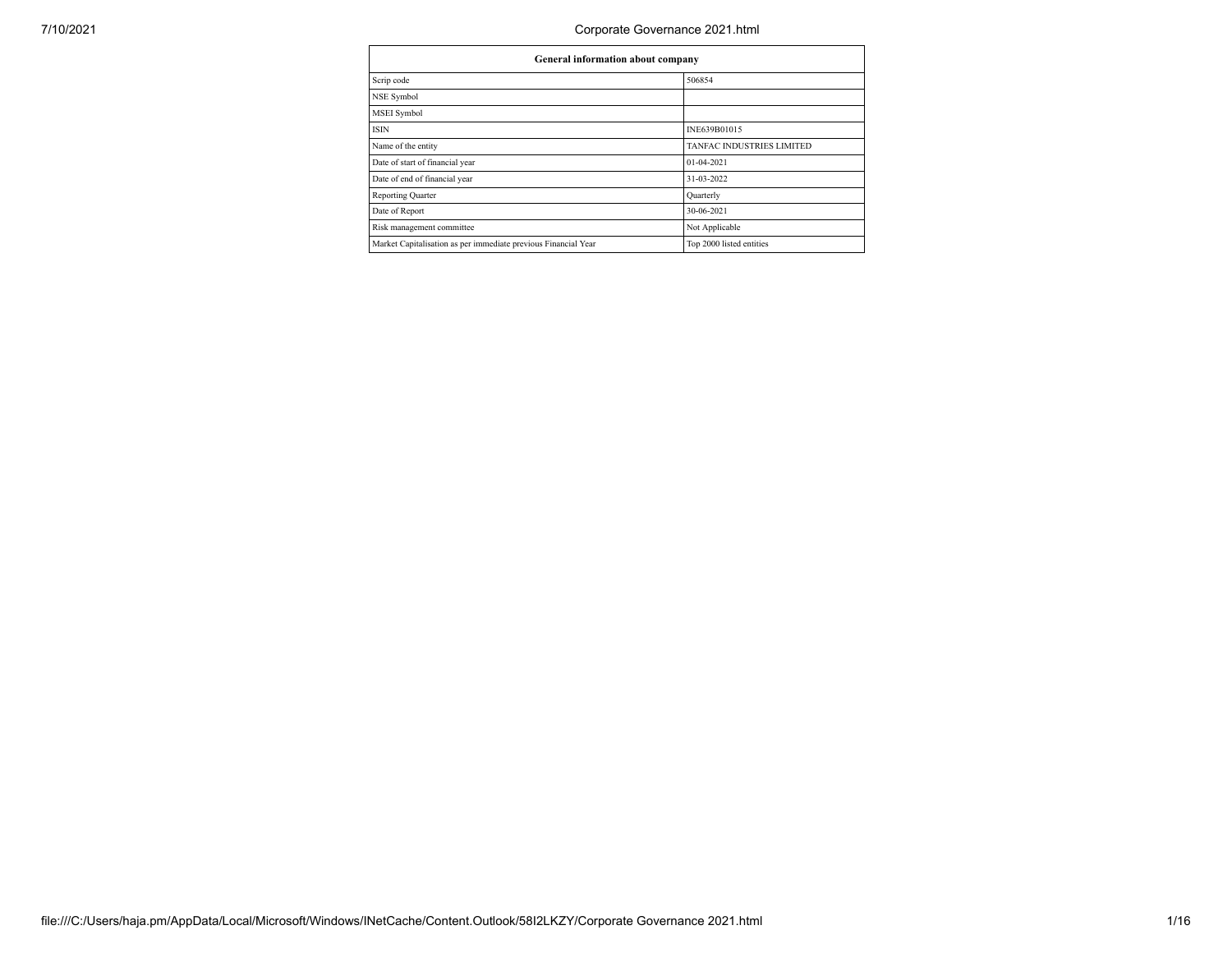| General information about company                              |                                  |  |  |  |  |  |
|----------------------------------------------------------------|----------------------------------|--|--|--|--|--|
| Scrip code                                                     | 506854                           |  |  |  |  |  |
| NSE Symbol                                                     |                                  |  |  |  |  |  |
| MSEI Symbol                                                    |                                  |  |  |  |  |  |
| ISIN                                                           | INE639B01015                     |  |  |  |  |  |
| Name of the entity                                             | <b>TANFAC INDUSTRIES LIMITED</b> |  |  |  |  |  |
| Date of start of financial year                                | 01-04-2021                       |  |  |  |  |  |
| Date of end of financial year                                  | 31-03-2022                       |  |  |  |  |  |
| <b>Reporting Quarter</b>                                       | Quarterly                        |  |  |  |  |  |
| Date of Report                                                 | 30-06-2021                       |  |  |  |  |  |
| Risk management committee                                      | Not Applicable                   |  |  |  |  |  |
| Market Capitalisation as per immediate previous Financial Year | Top 2000 listed entities         |  |  |  |  |  |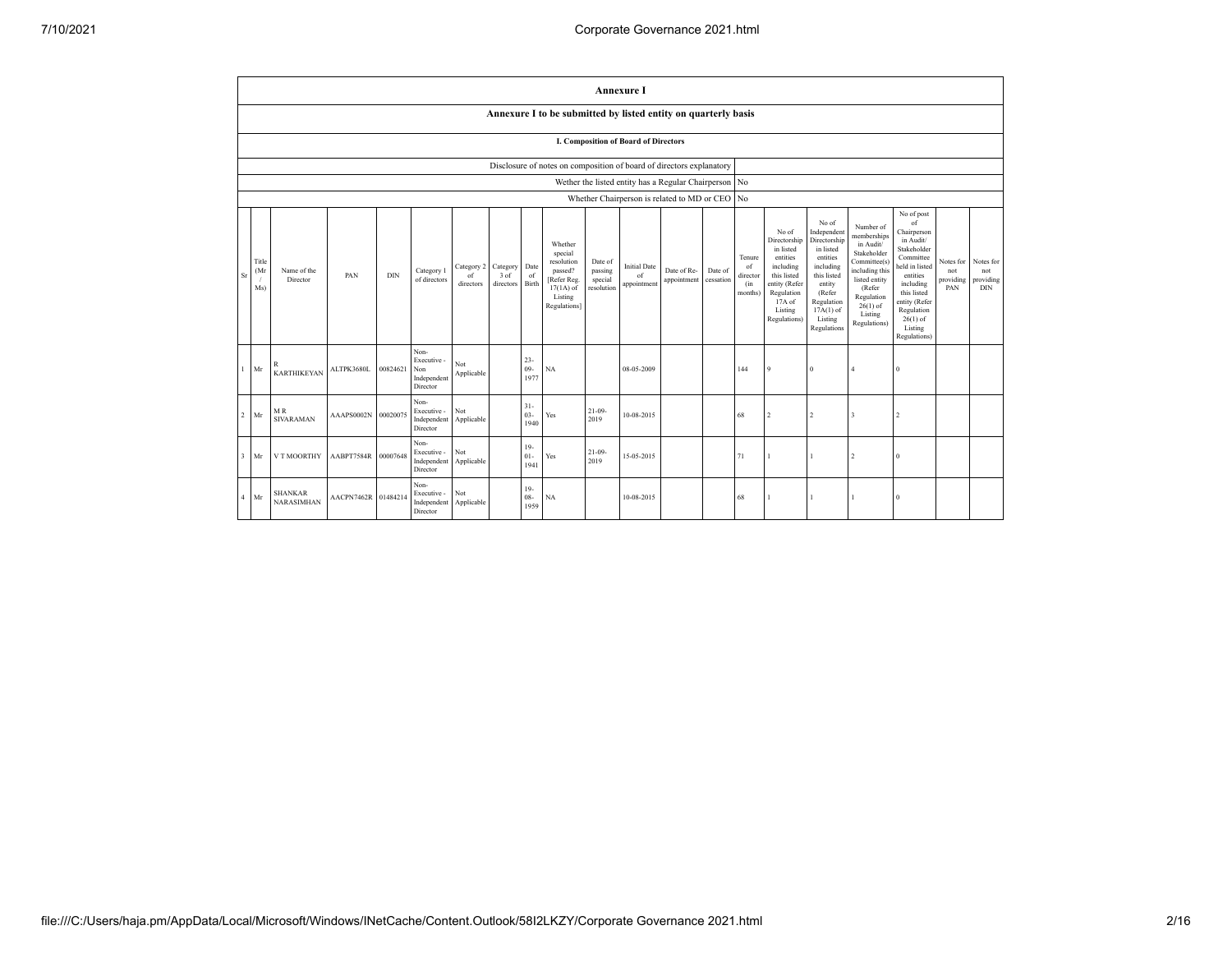|                |                                                                      |                                     |            |          |                                                     |                               |                               |                          |                                                                                                     |                                             | <b>Annexure I</b>                                     |                            |                      |                                                       |                                                                                                                                                  |                                                                                                                                                                      |                                                                                                                                                                          |                                                                                                                                                                                                            |                                      |                                      |
|----------------|----------------------------------------------------------------------|-------------------------------------|------------|----------|-----------------------------------------------------|-------------------------------|-------------------------------|--------------------------|-----------------------------------------------------------------------------------------------------|---------------------------------------------|-------------------------------------------------------|----------------------------|----------------------|-------------------------------------------------------|--------------------------------------------------------------------------------------------------------------------------------------------------|----------------------------------------------------------------------------------------------------------------------------------------------------------------------|--------------------------------------------------------------------------------------------------------------------------------------------------------------------------|------------------------------------------------------------------------------------------------------------------------------------------------------------------------------------------------------------|--------------------------------------|--------------------------------------|
|                |                                                                      |                                     |            |          |                                                     |                               |                               |                          | Annexure I to be submitted by listed entity on quarterly basis                                      |                                             |                                                       |                            |                      |                                                       |                                                                                                                                                  |                                                                                                                                                                      |                                                                                                                                                                          |                                                                                                                                                                                                            |                                      |                                      |
|                | <b>I. Composition of Board of Directors</b>                          |                                     |            |          |                                                     |                               |                               |                          |                                                                                                     |                                             |                                                       |                            |                      |                                                       |                                                                                                                                                  |                                                                                                                                                                      |                                                                                                                                                                          |                                                                                                                                                                                                            |                                      |                                      |
|                | Disclosure of notes on composition of board of directors explanatory |                                     |            |          |                                                     |                               |                               |                          |                                                                                                     |                                             |                                                       |                            |                      |                                                       |                                                                                                                                                  |                                                                                                                                                                      |                                                                                                                                                                          |                                                                                                                                                                                                            |                                      |                                      |
|                |                                                                      |                                     |            |          |                                                     |                               |                               |                          |                                                                                                     |                                             | Wether the listed entity has a Regular Chairperson No |                            |                      |                                                       |                                                                                                                                                  |                                                                                                                                                                      |                                                                                                                                                                          |                                                                                                                                                                                                            |                                      |                                      |
|                |                                                                      |                                     |            |          |                                                     |                               |                               |                          |                                                                                                     |                                             | Whether Chairperson is related to MD or CEO           |                            |                      | No.                                                   |                                                                                                                                                  |                                                                                                                                                                      |                                                                                                                                                                          |                                                                                                                                                                                                            |                                      |                                      |
| Sr             | Title<br>(Mr)<br>Ms)                                                 | Name of the<br>Director             | PAN        | DIN      | Category 1<br>of directors                          | Category 2<br>of<br>directors | Category<br>3 of<br>directors | Date<br>of<br>Birth      | Whether<br>special<br>resolution<br>passed?<br>Refer Reg.<br>$17(1A)$ of<br>Listing<br>Regulations] | Date of<br>passing<br>special<br>resolution | <b>Initial Date</b><br>of<br>appointment              | Date of Re-<br>appointment | Date of<br>cessation | Tenure<br><sup>of</sup><br>director<br>(in<br>months) | No of<br>Directorship<br>in listed<br>entities<br>including<br>this listed<br>entity (Refer<br>Regulation<br>$17A$ of<br>Listing<br>Regulations) | No of<br>Independent<br>Directorship<br>in listed<br>entities<br>including<br>this listed<br>entity<br>(Refer<br>Regulation<br>$17A(1)$ of<br>Listing<br>Regulations | Number of<br>memberships<br>in Audit/<br>Stakeholder<br>Committee(s)<br>including this<br>listed entity<br>(Refer<br>Regulation<br>$26(1)$ of<br>Listing<br>Regulations) | No of post<br>of<br>Chairperson<br>in Audit/<br>Stakeholder<br>Committee<br>held in listed<br>entities<br>including<br>this listed<br>entity (Refer<br>Regulation<br>$26(1)$ of<br>Listing<br>Regulations) | Notes for<br>not<br>providing<br>PAN | Notes for<br>not<br>providing<br>DIN |
| $\mathbf{1}$   | Mr                                                                   | R<br><b>KARTHIKEYAN</b>             | ALTPK3680L | 00824621 | Non-<br>Executive<br>Non<br>Independent<br>Director | Not<br>Applicable             |                               | $23 -$<br>$09 -$<br>1977 | NA                                                                                                  |                                             | 08-05-2009                                            |                            |                      | 144                                                   | 9                                                                                                                                                | $\theta$                                                                                                                                                             | $\overline{4}$                                                                                                                                                           | $\theta$                                                                                                                                                                                                   |                                      |                                      |
| $\overline{2}$ | Mr                                                                   | MR.<br><b>SIVARAMAN</b>             | AAAPS0002N | 00020075 | Non-<br>Executive -<br>Independent<br>Director      | Not<br>Applicable             |                               | $31 -$<br>$03 -$<br>1940 | Yes                                                                                                 | $21 - 09$<br>2019                           | 10-08-2015                                            |                            |                      | 68                                                    | $\overline{2}$                                                                                                                                   | $\overline{2}$                                                                                                                                                       | $\overline{\mathbf{3}}$                                                                                                                                                  | $\overline{2}$                                                                                                                                                                                             |                                      |                                      |
| 3              | Mr                                                                   | V T MOORTHY                         | AABPT7584R | 00007648 | Non-<br>Executive -<br>Independent<br>Director      | Not<br>Applicable             |                               | $19-$<br>$01 -$<br>1941  | Yes                                                                                                 | $21 - 09$<br>2019                           | 15-05-2015                                            |                            |                      | 71                                                    |                                                                                                                                                  | 1                                                                                                                                                                    | $\overline{2}$                                                                                                                                                           | $\theta$                                                                                                                                                                                                   |                                      |                                      |
| $\overline{4}$ | Mr                                                                   | <b>SHANKAR</b><br><b>NARASIMHAN</b> | AACPN7462R | 01484214 | Non-<br>Executive -<br>Independent<br>Director      | Not<br>Applicable             |                               | $19-$<br>08-<br>1959     | <b>NA</b>                                                                                           |                                             | 10-08-2015                                            |                            |                      | 68                                                    | 1                                                                                                                                                | 1                                                                                                                                                                    |                                                                                                                                                                          | $\theta$                                                                                                                                                                                                   |                                      |                                      |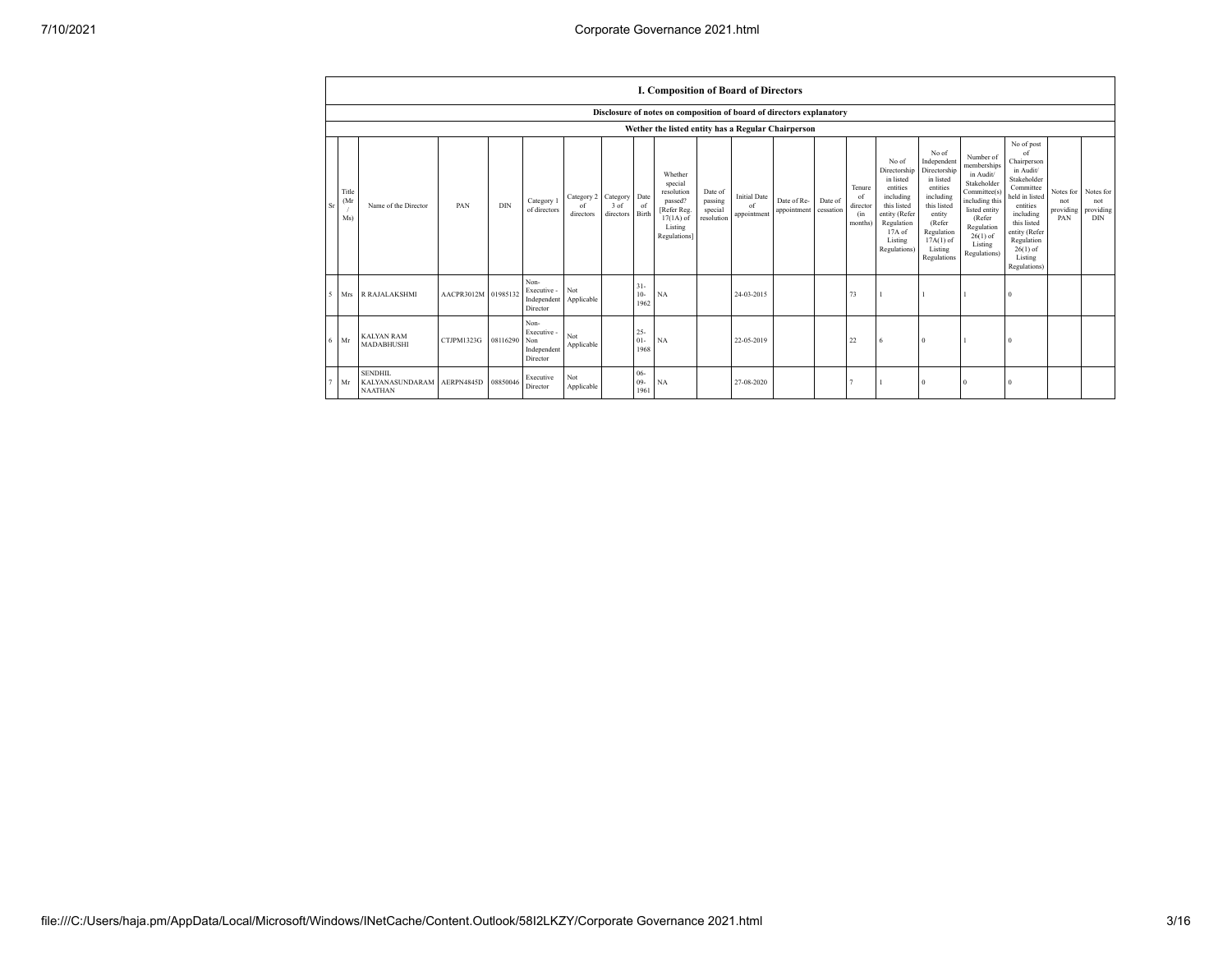|                          |                     |                                                     |                     |          |                                                       |                               |                               |                          | I. Composition of Board of Directors                                                                |                                             |                                          |                                                                      |                      |                                            |                                                                                                                                                |                                                                                                                                                                      |                                                                                                                                                                          |                                                                                                                                                                                                            |                                      |                                      |
|--------------------------|---------------------|-----------------------------------------------------|---------------------|----------|-------------------------------------------------------|-------------------------------|-------------------------------|--------------------------|-----------------------------------------------------------------------------------------------------|---------------------------------------------|------------------------------------------|----------------------------------------------------------------------|----------------------|--------------------------------------------|------------------------------------------------------------------------------------------------------------------------------------------------|----------------------------------------------------------------------------------------------------------------------------------------------------------------------|--------------------------------------------------------------------------------------------------------------------------------------------------------------------------|------------------------------------------------------------------------------------------------------------------------------------------------------------------------------------------------------------|--------------------------------------|--------------------------------------|
|                          |                     |                                                     |                     |          |                                                       |                               |                               |                          |                                                                                                     |                                             |                                          | Disclosure of notes on composition of board of directors explanatory |                      |                                            |                                                                                                                                                |                                                                                                                                                                      |                                                                                                                                                                          |                                                                                                                                                                                                            |                                      |                                      |
|                          |                     | Wether the listed entity has a Regular Chairperson  |                     |          |                                                       |                               |                               |                          |                                                                                                     |                                             |                                          |                                                                      |                      |                                            |                                                                                                                                                |                                                                                                                                                                      |                                                                                                                                                                          |                                                                                                                                                                                                            |                                      |                                      |
| Sr                       | Title<br>(Mr<br>Ms) | Name of the Director                                | PAN                 | DIN      | Category 1<br>of directors                            | Category 2<br>of<br>directors | Category<br>3 of<br>directors | Date<br>of<br>Birth      | Whether<br>special<br>resolution<br>passed?<br>Refer Reg.<br>$17(1A)$ of<br>Listing<br>Regulations] | Date of<br>passing<br>special<br>resolution | <b>Initial Date</b><br>of<br>appointment | Date of Re-<br>appointment                                           | Date of<br>cessation | Tenure<br>of<br>director<br>(in<br>months) | No of<br>Directorship<br>in listed<br>entities<br>including<br>this listed<br>entity (Refer<br>Regulation<br>17A of<br>Listing<br>Regulations) | No of<br>Independent<br>Directorship<br>in listed<br>entities<br>including<br>this listed<br>entity<br>(Refer<br>Regulation<br>$17A(1)$ of<br>Listing<br>Regulations | Number of<br>memberships<br>in Audit/<br>Stakeholder<br>Committee(s)<br>including this<br>listed entity<br>(Refer<br>Regulation<br>$26(1)$ of<br>Listing<br>Regulations) | No of post<br>of<br>Chairperson<br>in Audit/<br>Stakeholder<br>Committee<br>held in listed<br>entities<br>including<br>this listed<br>entity (Refer<br>Regulation<br>$26(1)$ of<br>Listing<br>Regulations) | Notes for<br>not<br>providing<br>PAN | Notes for<br>not<br>providing<br>DIN |
| $\overline{\phantom{a}}$ | Mrs                 | <b>R RAJALAKSHMI</b>                                | AACPR3012M 01985132 |          | Non-<br>Executive -<br>Independent<br>Director        | Not<br>Applicable             |                               | $31 -$<br>$10-$<br>1962  | NA                                                                                                  |                                             | 24-03-2015                               |                                                                      |                      | 73                                         |                                                                                                                                                |                                                                                                                                                                      |                                                                                                                                                                          | $\Omega$                                                                                                                                                                                                   |                                      |                                      |
| 6                        | Mr                  | <b>KALYAN RAM</b><br>MADABHUSHI                     | CTJPM1323G          | 08116290 | Non-<br>Executive -<br>Non<br>Independent<br>Director | Not<br>Applicable             |                               | $25 -$<br>$01 -$<br>1968 | NA                                                                                                  |                                             | 22-05-2019                               |                                                                      |                      | 22                                         |                                                                                                                                                | $\Omega$                                                                                                                                                             |                                                                                                                                                                          |                                                                                                                                                                                                            |                                      |                                      |
|                          | Mr                  | <b>SENDHIL</b><br>KALYANASUNDARAM<br><b>NAATHAN</b> | AERPN4845D          | 08850046 | Executive<br>Director                                 | Not<br>Applicable             |                               | $06 -$<br>$09-$<br>1961  | NA                                                                                                  |                                             | 27-08-2020                               |                                                                      |                      |                                            |                                                                                                                                                | $\Omega$                                                                                                                                                             |                                                                                                                                                                          |                                                                                                                                                                                                            |                                      |                                      |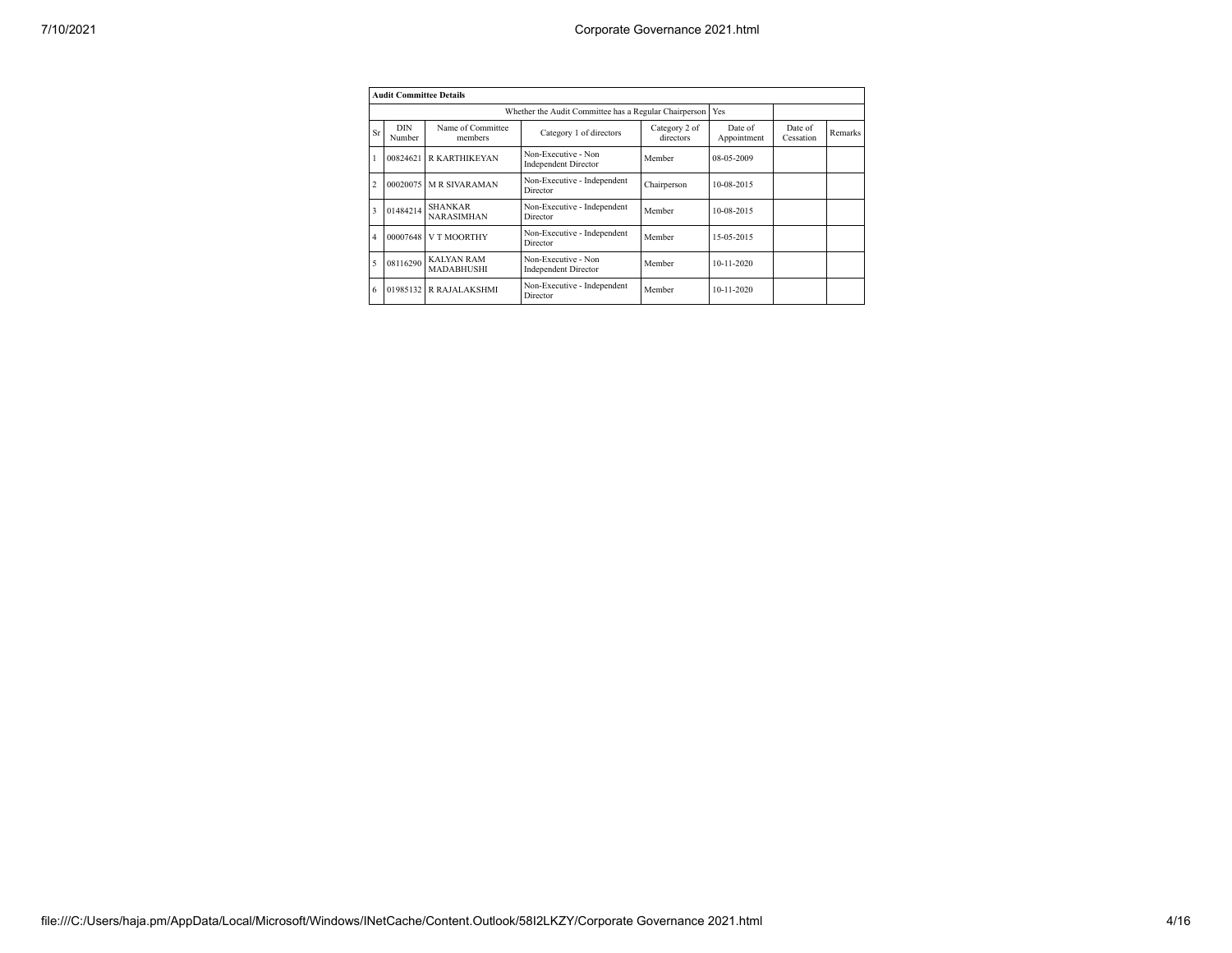|                | <b>Audit Committee Details</b> |                                        |                                                       |                            |                        |                      |         |
|----------------|--------------------------------|----------------------------------------|-------------------------------------------------------|----------------------------|------------------------|----------------------|---------|
|                |                                |                                        | Whether the Audit Committee has a Regular Chairperson |                            | Yes                    |                      |         |
| Sr             | <b>DIN</b><br>Number           | Name of Committee<br>members           | Category 1 of directors                               | Category 2 of<br>directors | Date of<br>Appointment | Date of<br>Cessation | Remarks |
|                | 00824621                       | R KARTHIKEYAN                          | Non-Executive - Non<br><b>Independent Director</b>    | Member                     | 08-05-2009             |                      |         |
| $\overline{2}$ | 00020075                       | <b>MR SIVARAMAN</b>                    | Non-Executive - Independent<br>Director               | Chairperson                | 10-08-2015             |                      |         |
| 3              | 01484214                       | <b>SHANKAR</b><br><b>NARASIMHAN</b>    | Non-Executive - Independent<br>Director               | Member                     | 10-08-2015             |                      |         |
| $\overline{4}$ | 00007648                       | V T MOORTHY                            | Non-Executive - Independent<br>Director               | Member                     | 15-05-2015             |                      |         |
| 5              | 08116290                       | <b>KALYAN RAM</b><br><b>MADABHUSHI</b> | Non-Executive - Non<br><b>Independent Director</b>    | Member                     | $10 - 11 - 2020$       |                      |         |
| 6              | 01985132                       | R RAJALAKSHMI                          | Non-Executive - Independent<br>Director               | Member                     | $10 - 11 - 2020$       |                      |         |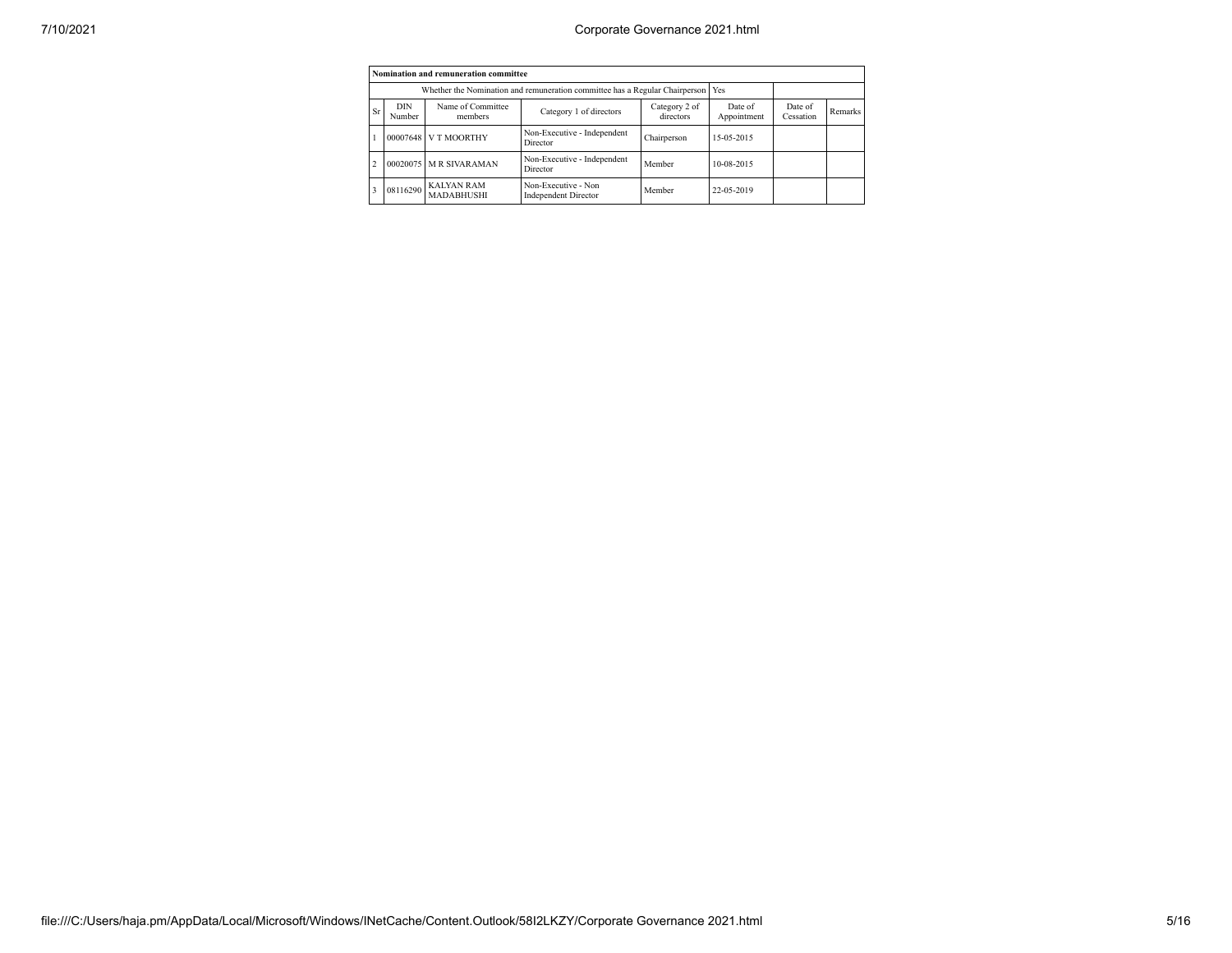|                |                      | Nomination and remuneration committee |                                                                                   |                            |                        |                      |         |
|----------------|----------------------|---------------------------------------|-----------------------------------------------------------------------------------|----------------------------|------------------------|----------------------|---------|
|                |                      |                                       | Whether the Nomination and remuneration committee has a Regular Chairperson   Yes |                            |                        |                      |         |
| Sr             | <b>DIN</b><br>Number | Name of Committee<br>members          | Category 1 of directors                                                           | Category 2 of<br>directors | Date of<br>Appointment | Date of<br>Cessation | Remarks |
|                | 00007648             | V T MOORTHY                           | Non-Executive - Independent<br>Director                                           | Chairperson                | 15-05-2015             |                      |         |
| $\overline{a}$ |                      | 00020075 M R SIVARAMAN                | Non-Executive - Independent<br>Director                                           | Member                     | 10-08-2015             |                      |         |
|                | 08116290             | <b>KALYAN RAM</b><br>MADABHUSHI       | Non-Executive - Non<br><b>Independent Director</b>                                | Member                     | 22-05-2019             |                      |         |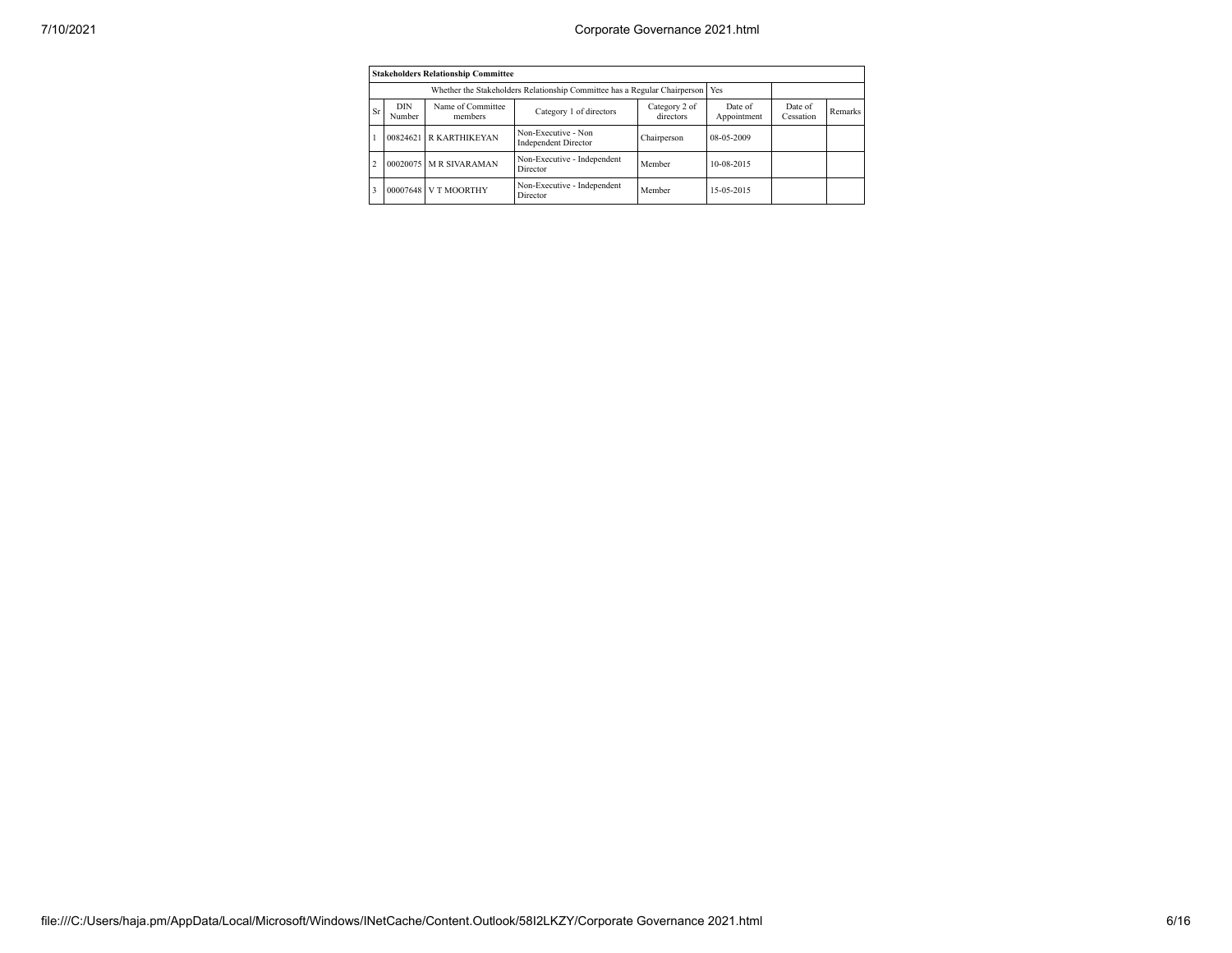|                                                                                                                     |          | <b>Stakeholders Relationship Committee</b> |                                                                                 |                        |                      |         |  |
|---------------------------------------------------------------------------------------------------------------------|----------|--------------------------------------------|---------------------------------------------------------------------------------|------------------------|----------------------|---------|--|
|                                                                                                                     |          |                                            | Whether the Stakeholders Relationship Committee has a Regular Chairperson   Yes |                        |                      |         |  |
| Name of Committee<br><b>DIN</b><br>Category 2 of<br>Sr<br>Category 1 of directors<br>directors<br>Number<br>members |          |                                            |                                                                                 | Date of<br>Appointment | Date of<br>Cessation | Remarks |  |
|                                                                                                                     | 00824621 | <b>R KARTHIKEYAN</b>                       | Non-Executive - Non<br><b>Independent Director</b>                              | Chairperson            | 08-05-2009           |         |  |
| $\overline{2}$                                                                                                      | 00020075 | <b>M R SIVARAMAN</b>                       | Non-Executive - Independent<br>Director                                         | Member                 | 10-08-2015           |         |  |
|                                                                                                                     | 00007648 | V T MOORTHY                                | Non-Executive - Independent<br>Director                                         | Member                 | 15-05-2015           |         |  |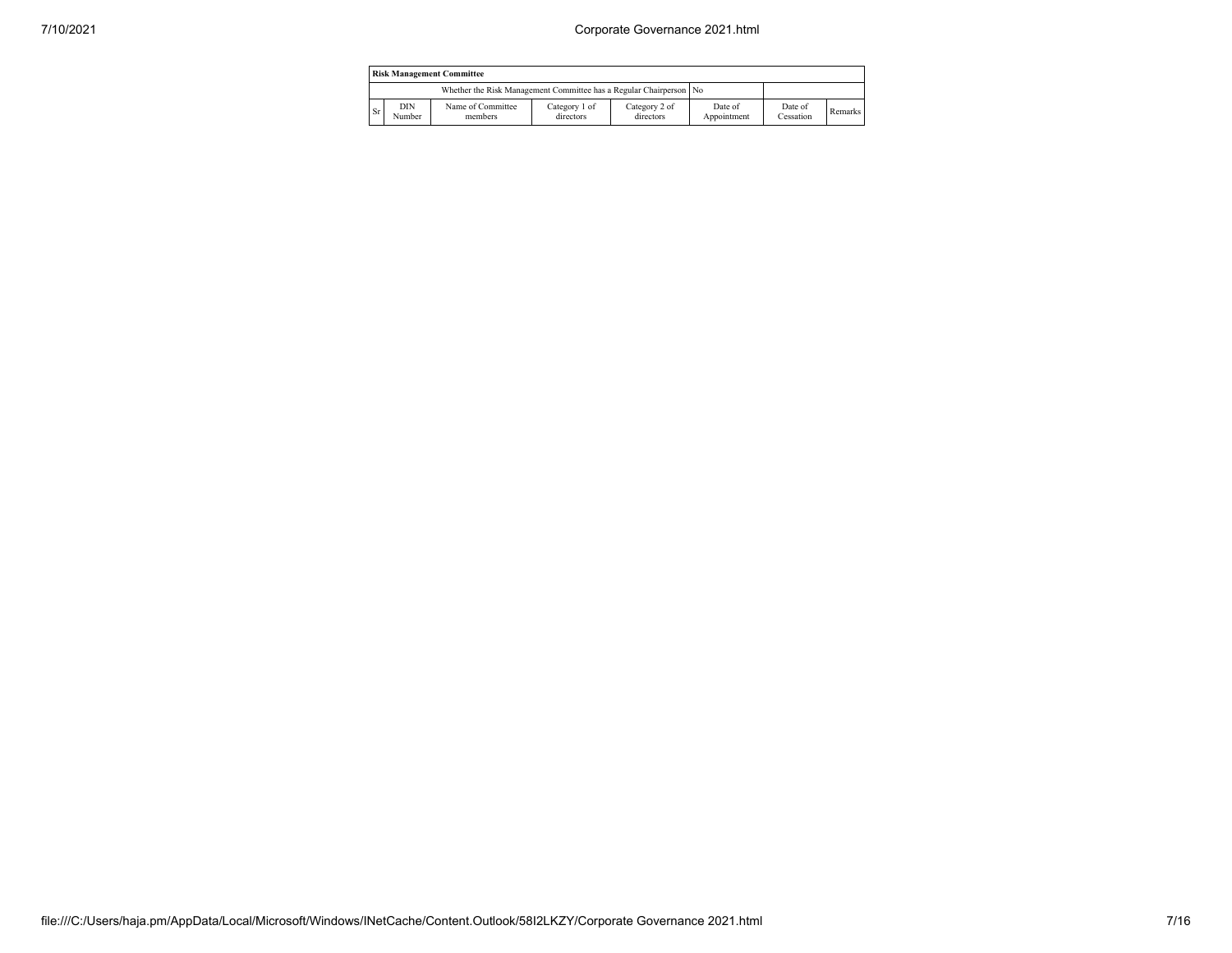| <b>Risk Management Committee</b>                                     |               |                              |                            |                            |                        |                      |         |  |  |
|----------------------------------------------------------------------|---------------|------------------------------|----------------------------|----------------------------|------------------------|----------------------|---------|--|--|
| Whether the Risk Management Committee has a Regular Chairperson   No |               |                              |                            |                            |                        |                      |         |  |  |
| Sr                                                                   | DIN<br>Number | Name of Committee<br>members | Category 1 of<br>directors | Category 2 of<br>directors | Date of<br>Appointment | Date of<br>Cessation | Remarks |  |  |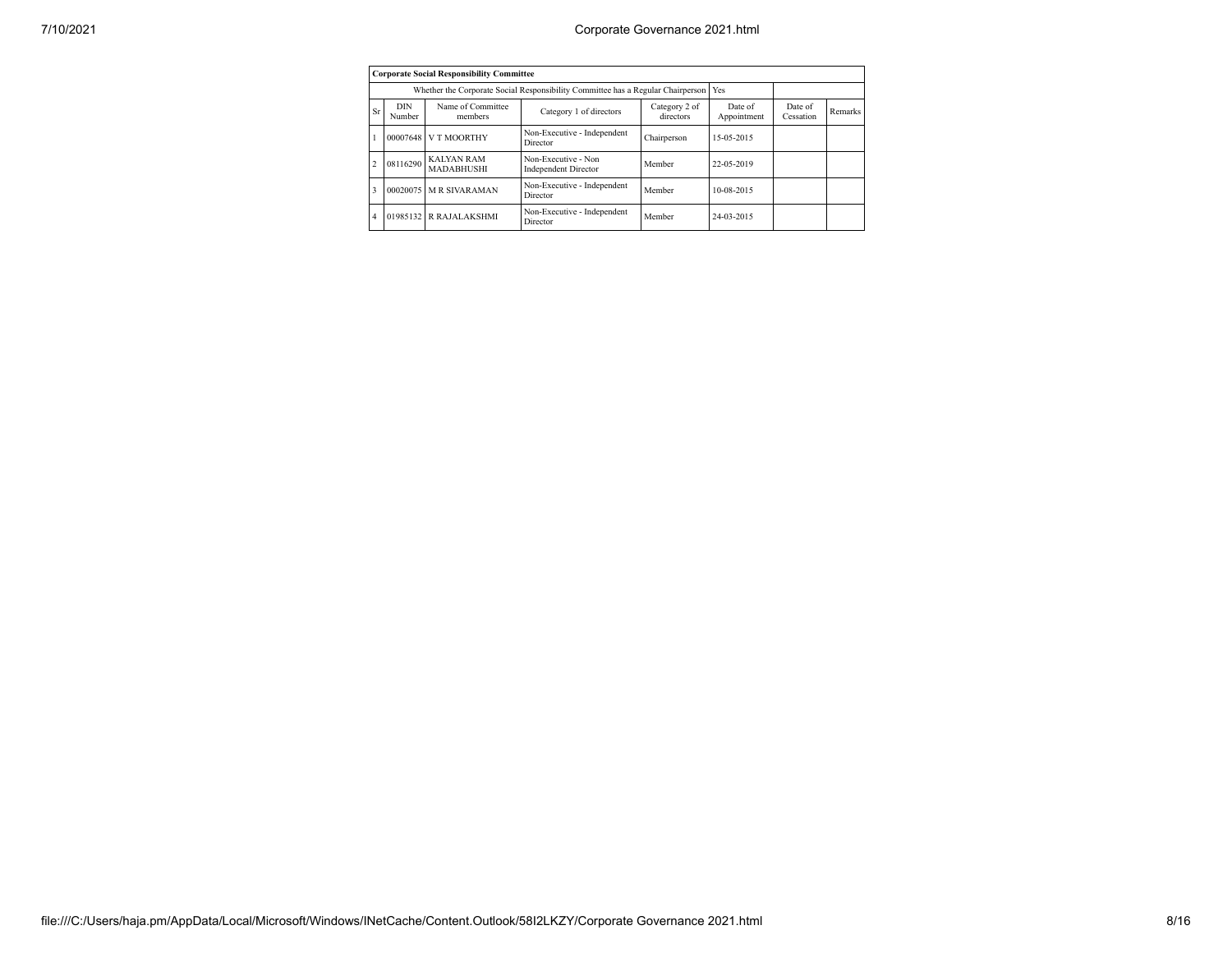|                |                                                                                                               | <b>Corporate Social Responsibility Committee</b> |                                                                                 |        |                        |                      |         |
|----------------|---------------------------------------------------------------------------------------------------------------|--------------------------------------------------|---------------------------------------------------------------------------------|--------|------------------------|----------------------|---------|
|                |                                                                                                               |                                                  | Whether the Corporate Social Responsibility Committee has a Regular Chairperson |        | Yes                    |                      |         |
| Sr             | Name of Committee<br><b>DIN</b><br>Category 2 of<br>Category 1 of directors<br>directors<br>Number<br>members |                                                  |                                                                                 |        | Date of<br>Appointment | Date of<br>Cessation | Remarks |
|                | 00007648                                                                                                      | V T MOORTHY                                      | Non-Executive - Independent<br>Chairperson<br>Director                          |        | 15-05-2015             |                      |         |
| $\overline{2}$ | 08116290                                                                                                      | <b>KALYAN RAM</b><br><b>MADABHUSHI</b>           | Non-Executive - Non<br><b>Independent Director</b>                              | Member | 22-05-2019             |                      |         |
| 3              | 00020075                                                                                                      | <b>MR SIVARAMAN</b>                              | Non-Executive - Independent<br>Director                                         | Member | 10-08-2015             |                      |         |
| 4              |                                                                                                               | 01985132 R RAJALAKSHMI                           | Non-Executive - Independent<br>Director                                         | Member | 24-03-2015             |                      |         |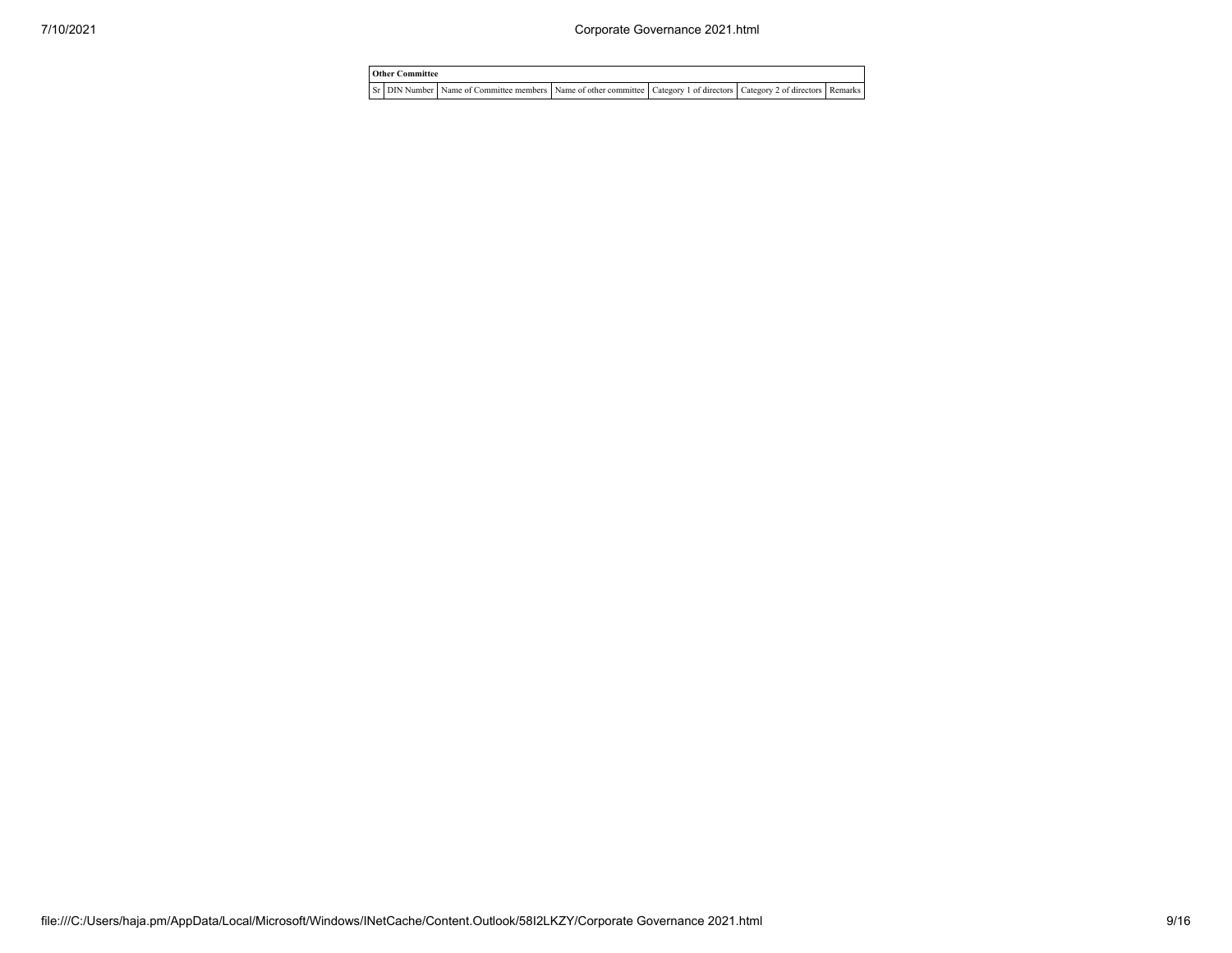| <b>Other Committee</b> |  |  |                                                                                                                                     |  |  |  |  |
|------------------------|--|--|-------------------------------------------------------------------------------------------------------------------------------------|--|--|--|--|
|                        |  |  | Sr   DIN Number   Name of Committee members   Name of other committee   Category 1 of directors   Category 2 of directors   Remarks |  |  |  |  |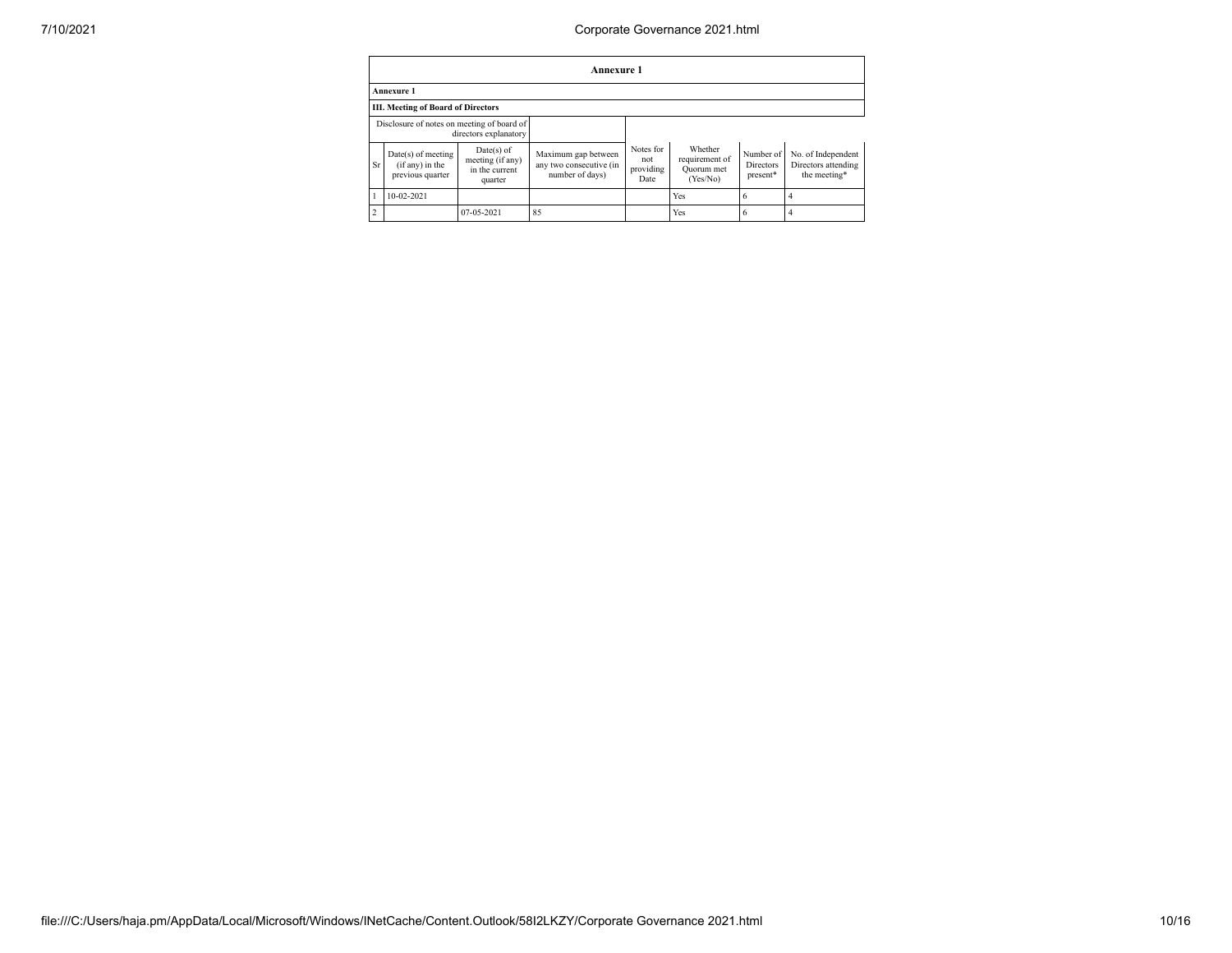## 7/10/2021 Corporate Governance 2021.html

|                | Annexure 1                                                  |                                                               |                                                                   |                                       |                                                     |                                           |                                                           |  |  |
|----------------|-------------------------------------------------------------|---------------------------------------------------------------|-------------------------------------------------------------------|---------------------------------------|-----------------------------------------------------|-------------------------------------------|-----------------------------------------------------------|--|--|
|                | Annexure 1                                                  |                                                               |                                                                   |                                       |                                                     |                                           |                                                           |  |  |
|                | <b>III. Meeting of Board of Directors</b>                   |                                                               |                                                                   |                                       |                                                     |                                           |                                                           |  |  |
|                | Disclosure of notes on meeting of board of                  | directors explanatory                                         |                                                                   |                                       |                                                     |                                           |                                                           |  |  |
| Sr             | $Date(s)$ of meeting<br>(if any) in the<br>previous quarter | $Date(s)$ of<br>meeting (if any)<br>in the current<br>quarter | Maximum gap between<br>any two consecutive (in<br>number of days) | Notes for<br>not<br>providing<br>Date | Whether<br>requirement of<br>Quorum met<br>(Yes/No) | Number of<br><b>Directors</b><br>present* | No. of Independent<br>Directors attending<br>the meeting* |  |  |
|                | 10-02-2021                                                  |                                                               |                                                                   |                                       | Yes                                                 | 6                                         | 4                                                         |  |  |
| $\overline{c}$ |                                                             | $07-05-2021$                                                  | 85                                                                |                                       | Yes                                                 | 6                                         | 4                                                         |  |  |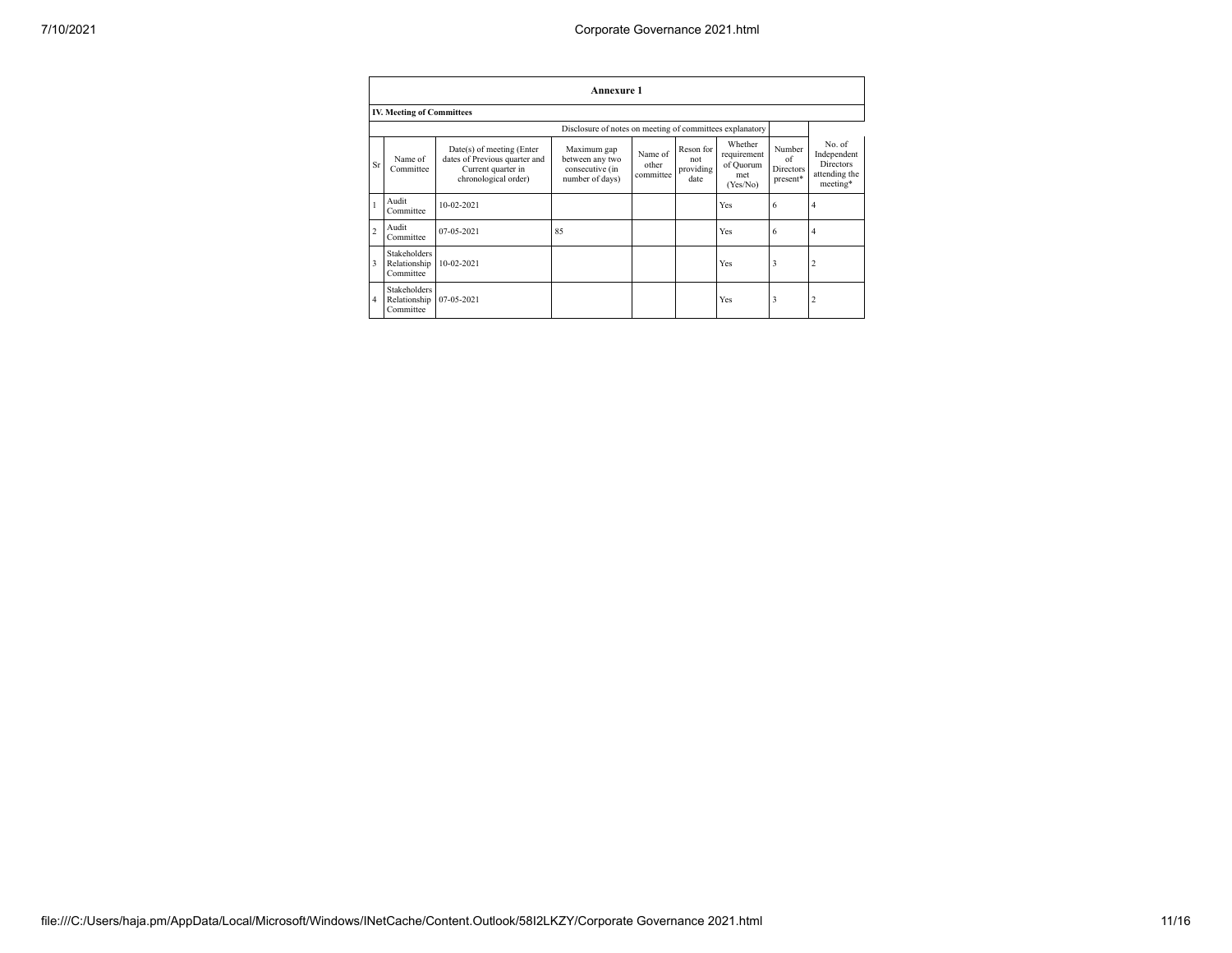|                | <b>Annexure 1</b>                                |                                                                                                          |                                                                      |                               |                                       |                                                        |                                              |                                                                        |  |  |  |
|----------------|--------------------------------------------------|----------------------------------------------------------------------------------------------------------|----------------------------------------------------------------------|-------------------------------|---------------------------------------|--------------------------------------------------------|----------------------------------------------|------------------------------------------------------------------------|--|--|--|
|                | <b>IV. Meeting of Committees</b>                 |                                                                                                          |                                                                      |                               |                                       |                                                        |                                              |                                                                        |  |  |  |
|                |                                                  |                                                                                                          | Disclosure of notes on meeting of committees explanatory             |                               |                                       |                                                        |                                              |                                                                        |  |  |  |
| Sr             | Name of<br>Committee                             | Date(s) of meeting (Enter<br>dates of Previous quarter and<br>Current quarter in<br>chronological order) | Maximum gap<br>between any two<br>consecutive (in<br>number of days) | Name of<br>other<br>committee | Reson for<br>not<br>providing<br>date | Whether<br>requirement<br>of Quorum<br>met<br>(Yes/No) | Number<br>of<br><b>Directors</b><br>present* | No. of<br>Independent<br><b>Directors</b><br>attending the<br>meeting* |  |  |  |
|                | Audit<br>Committee                               | $10-02-2021$                                                                                             |                                                                      |                               |                                       | Yes                                                    | 6                                            | 4                                                                      |  |  |  |
| $\overline{c}$ | Audit<br>Committee                               | 07-05-2021                                                                                               | 85                                                                   |                               |                                       | Yes                                                    | 6                                            | 4                                                                      |  |  |  |
| 3              | <b>Stakeholders</b><br>Relationship<br>Committee | 10-02-2021                                                                                               |                                                                      |                               |                                       | Yes                                                    | 3                                            | $\overline{2}$                                                         |  |  |  |
| $\overline{4}$ | Stakeholders<br>Relationship<br>Committee        | 07-05-2021                                                                                               |                                                                      |                               |                                       | Yes                                                    | 3                                            | $\overline{c}$                                                         |  |  |  |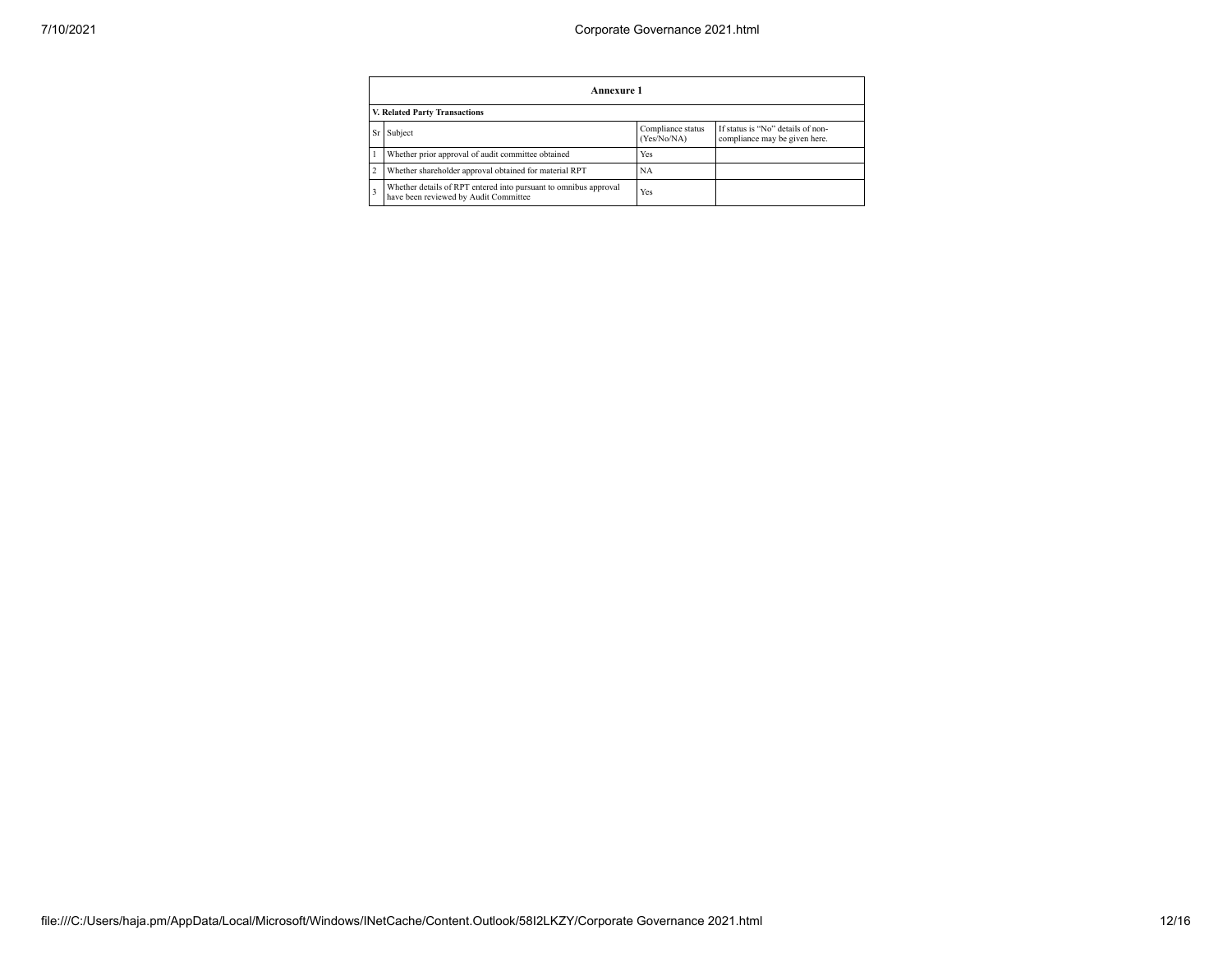|                               | Annexure 1                                                                                                |                                  |                                                                    |  |  |  |  |  |  |  |
|-------------------------------|-----------------------------------------------------------------------------------------------------------|----------------------------------|--------------------------------------------------------------------|--|--|--|--|--|--|--|
| V. Related Party Transactions |                                                                                                           |                                  |                                                                    |  |  |  |  |  |  |  |
|                               | Subject                                                                                                   | Compliance status<br>(Yes/No/NA) | If status is "No" details of non-<br>compliance may be given here. |  |  |  |  |  |  |  |
|                               | Whether prior approval of audit committee obtained                                                        | Yes                              |                                                                    |  |  |  |  |  |  |  |
|                               | Whether shareholder approval obtained for material RPT                                                    | <b>NA</b>                        |                                                                    |  |  |  |  |  |  |  |
|                               | Whether details of RPT entered into pursuant to omnibus approval<br>have been reviewed by Audit Committee | Yes                              |                                                                    |  |  |  |  |  |  |  |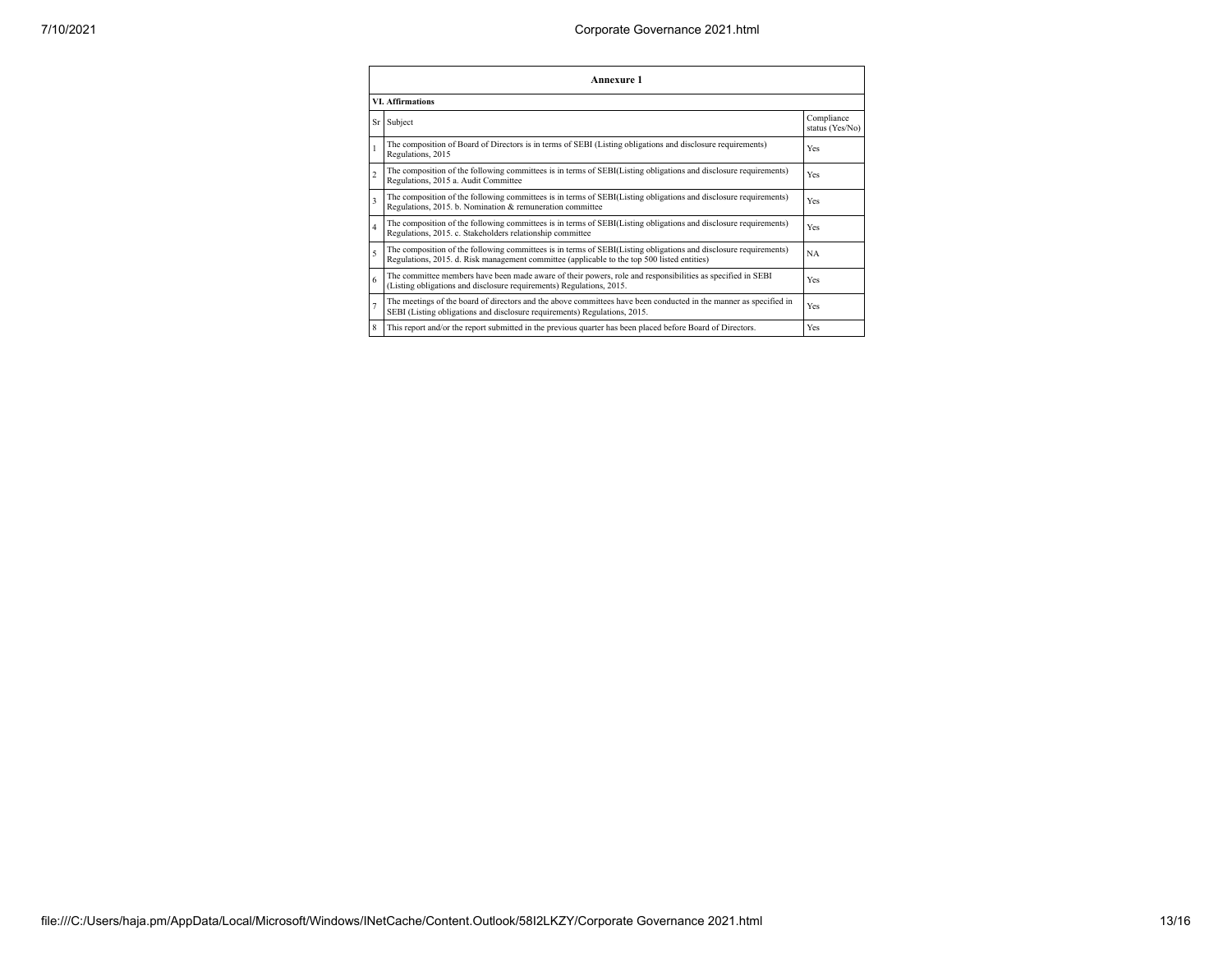| <b>Annexure 1</b><br><b>VI.</b> Affirmations |                                                                                                                                                                                                                 |           |  |  |
|----------------------------------------------|-----------------------------------------------------------------------------------------------------------------------------------------------------------------------------------------------------------------|-----------|--|--|
|                                              |                                                                                                                                                                                                                 |           |  |  |
|                                              | The composition of Board of Directors is in terms of SEBI (Listing obligations and disclosure requirements)<br>Regulations, 2015                                                                                | Yes       |  |  |
| $\overline{2}$                               | The composition of the following committees is in terms of SEBI(Listing obligations and disclosure requirements)<br>Regulations, 2015 a. Audit Committee                                                        | Yes       |  |  |
| $\overline{\mathbf{3}}$                      | The composition of the following committees is in terms of SEBI(Listing obligations and disclosure requirements)<br>Regulations, 2015. b. Nomination & remuneration committee                                   | Yes       |  |  |
| $\overline{4}$                               | The composition of the following committees is in terms of SEBI(Listing obligations and disclosure requirements)<br>Regulations, 2015. c. Stakeholders relationship committee                                   | Yes       |  |  |
| 5                                            | The composition of the following committees is in terms of SEBI(Listing obligations and disclosure requirements)<br>Regulations, 2015. d. Risk management committee (applicable to the top 500 listed entities) | <b>NA</b> |  |  |
| 6                                            | The committee members have been made aware of their powers, role and responsibilities as specified in SEBI<br>(Listing obligations and disclosure requirements) Regulations, 2015.                              | Yes       |  |  |
|                                              | The meetings of the board of directors and the above committees have been conducted in the manner as specified in<br>SEBI (Listing obligations and disclosure requirements) Regulations, 2015.                  | Yes       |  |  |
| 8                                            | This report and/or the report submitted in the previous quarter has been placed before Board of Directors.                                                                                                      | Yes       |  |  |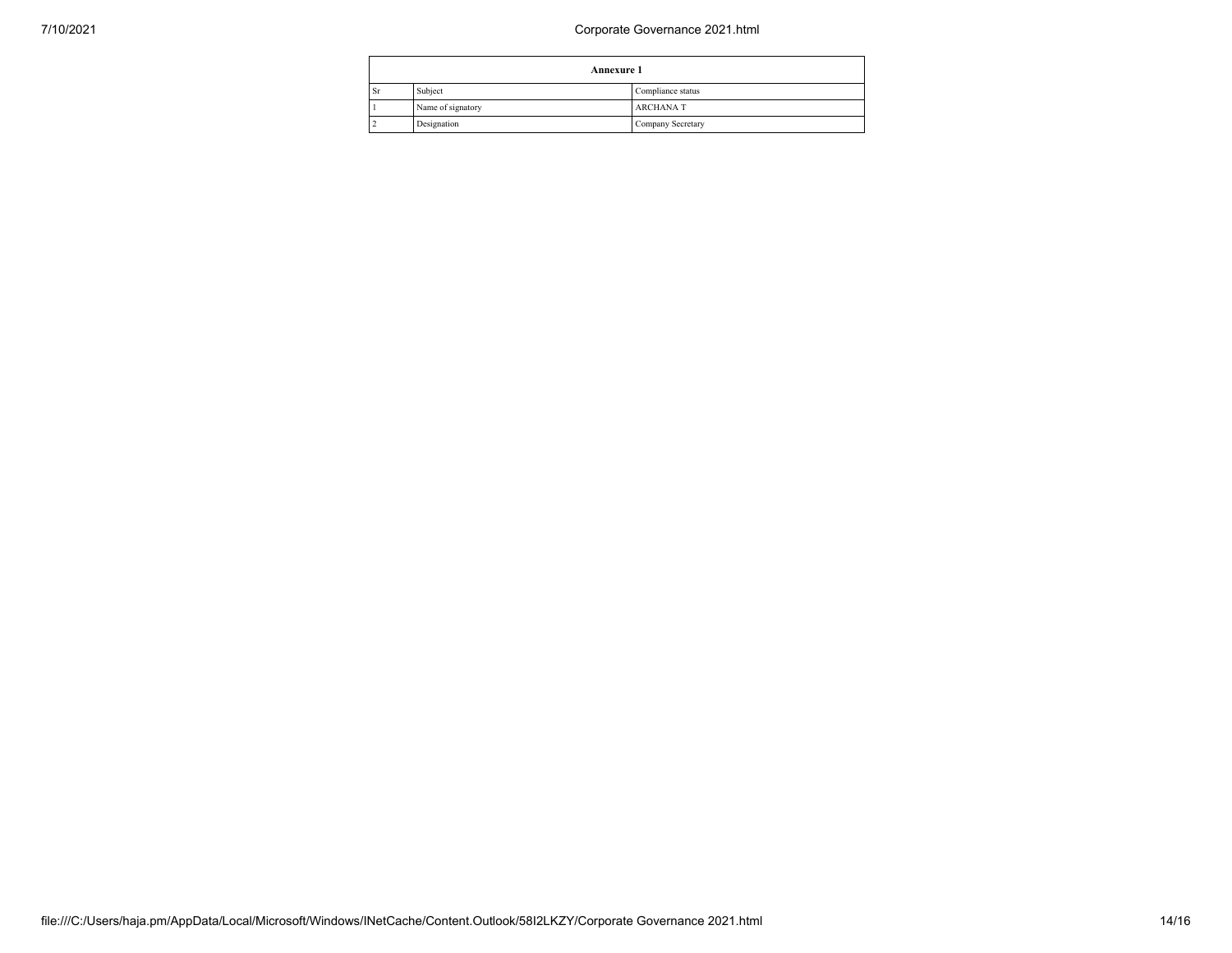## 7/10/2021 Corporate Governance 2021.html

|    | <b>Annexure 1</b> |                          |  |
|----|-------------------|--------------------------|--|
| Sr | Subject           | Compliance status        |  |
|    | Name of signatory | <b>ARCHANAT</b>          |  |
|    | Designation       | <b>Company Secretary</b> |  |